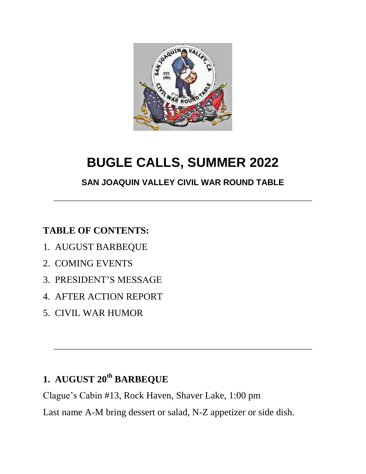

# **BUGLE CALLS, SUMMER 2022**

#### **SAN JOAQUIN VALLEY CIVIL WAR ROUND TABLE**

#### **TABLE OF CONTENTS:**

- 1. AUGUST BARBEQUE
- 2. COMING EVENTS
- 3. PRESIDENT'S MESSAGE
- 4. AFTER ACTION REPORT
- 5. CIVIL WAR HUMOR

## **1. AUGUST 20th BARBEQUE**

Clague's Cabin #13, Rock Haven, Shaver Lake, 1:00 pm

Last name A-M bring dessert or salad, N-Z appetizer or side dish.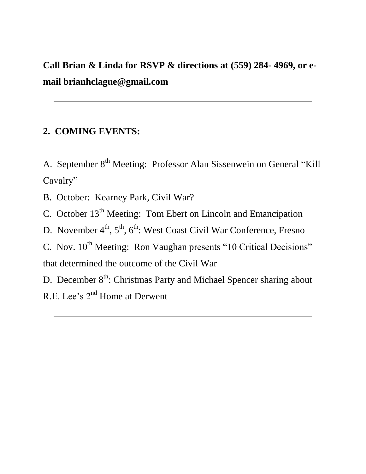**Call Brian & Linda for RSVP & directions at (559) 284- 4969, or email brianhclague@gmail.com**

#### **2. COMING EVENTS:**

A. September 8<sup>th</sup> Meeting: Professor Alan Sissenwein on General "Kill" Cavalry"

B. October: Kearney Park, Civil War?

C. October 13<sup>th</sup> Meeting: Tom Ebert on Lincoln and Emancipation

D. November 4<sup>th</sup>, 5<sup>th</sup>, 6<sup>th</sup>: West Coast Civil War Conference, Fresno

C. Nov.  $10^{th}$  Meeting: Ron Vaughan presents "10 Critical Decisions" that determined the outcome of the Civil War

D. December 8<sup>th</sup>: Christmas Party and Michael Spencer sharing about R.E. Lee's 2<sup>nd</sup> Home at Derwent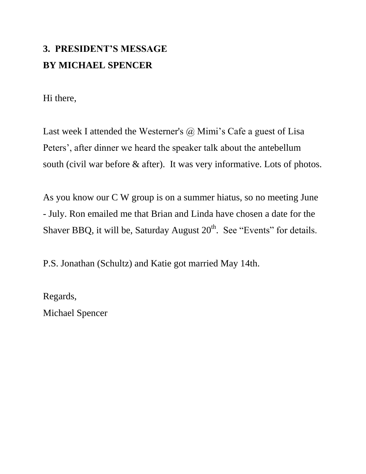# **3. PRESIDENT'S MESSAGE BY MICHAEL SPENCER**

Hi there,

Last week I attended the Westerner's  $(a)$  Mimi's Cafe a guest of Lisa Peters', after dinner we heard the speaker talk about the antebellum south (civil war before & after). It was very informative. Lots of photos.

As you know our C W group is on a summer hiatus, so no meeting June - July. Ron emailed me that Brian and Linda have chosen a date for the Shaver BBQ, it will be, Saturday August  $20<sup>th</sup>$ . See "Events" for details.

P.S. Jonathan (Schultz) and Katie got married May 14th.

Regards,

Michael Spencer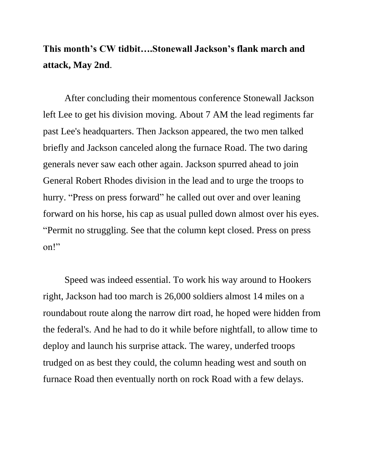### **This month's CW tidbit….Stonewall Jackson's flank march and attack, May 2nd**.

After concluding their momentous conference Stonewall Jackson left Lee to get his division moving. About 7 AM the lead regiments far past Lee's headquarters. Then Jackson appeared, the two men talked briefly and Jackson canceled along the furnace Road. The two daring generals never saw each other again. Jackson spurred ahead to join General Robert Rhodes division in the lead and to urge the troops to hurry. "Press on press forward" he called out over and over leaning forward on his horse, his cap as usual pulled down almost over his eyes. "Permit no struggling. See that the column kept closed. Press on press on!"

Speed was indeed essential. To work his way around to Hookers right, Jackson had too march is 26,000 soldiers almost 14 miles on a roundabout route along the narrow dirt road, he hoped were hidden from the federal's. And he had to do it while before nightfall, to allow time to deploy and launch his surprise attack. The warey, underfed troops trudged on as best they could, the column heading west and south on furnace Road then eventually north on rock Road with a few delays.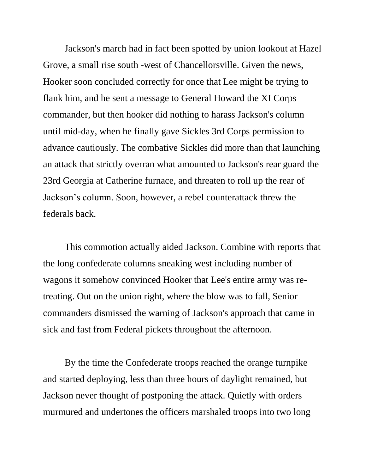Jackson's march had in fact been spotted by union lookout at Hazel Grove, a small rise south -west of Chancellorsville. Given the news, Hooker soon concluded correctly for once that Lee might be trying to flank him, and he sent a message to General Howard the XI Corps commander, but then hooker did nothing to harass Jackson's column until mid-day, when he finally gave Sickles 3rd Corps permission to advance cautiously. The combative Sickles did more than that launching an attack that strictly overran what amounted to Jackson's rear guard the 23rd Georgia at Catherine furnace, and threaten to roll up the rear of Jackson's column. Soon, however, a rebel counterattack threw the federals back.

This commotion actually aided Jackson. Combine with reports that the long confederate columns sneaking west including number of wagons it somehow convinced Hooker that Lee's entire army was retreating. Out on the union right, where the blow was to fall, Senior commanders dismissed the warning of Jackson's approach that came in sick and fast from Federal pickets throughout the afternoon.

By the time the Confederate troops reached the orange turnpike and started deploying, less than three hours of daylight remained, but Jackson never thought of postponing the attack. Quietly with orders murmured and undertones the officers marshaled troops into two long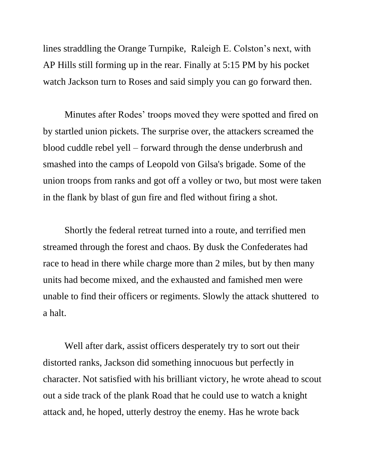lines straddling the Orange Turnpike, Raleigh E. Colston's next, with AP Hills still forming up in the rear. Finally at 5:15 PM by his pocket watch Jackson turn to Roses and said simply you can go forward then.

Minutes after Rodes' troops moved they were spotted and fired on by startled union pickets. The surprise over, the attackers screamed the blood cuddle rebel yell – forward through the dense underbrush and smashed into the camps of Leopold von Gilsa's brigade. Some of the union troops from ranks and got off a volley or two, but most were taken in the flank by blast of gun fire and fled without firing a shot.

Shortly the federal retreat turned into a route, and terrified men streamed through the forest and chaos. By dusk the Confederates had race to head in there while charge more than 2 miles, but by then many units had become mixed, and the exhausted and famished men were unable to find their officers or regiments. Slowly the attack shuttered to a halt.

Well after dark, assist officers desperately try to sort out their distorted ranks, Jackson did something innocuous but perfectly in character. Not satisfied with his brilliant victory, he wrote ahead to scout out a side track of the plank Road that he could use to watch a knight attack and, he hoped, utterly destroy the enemy. Has he wrote back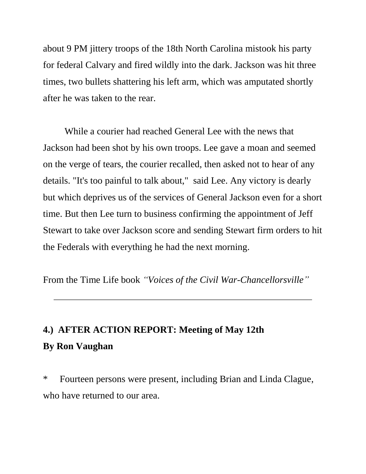about 9 PM jittery troops of the 18th North Carolina mistook his party for federal Calvary and fired wildly into the dark. Jackson was hit three times, two bullets shattering his left arm, which was amputated shortly after he was taken to the rear.

While a courier had reached General Lee with the news that Jackson had been shot by his own troops. Lee gave a moan and seemed on the verge of tears, the courier recalled, then asked not to hear of any details. "It's too painful to talk about," said Lee. Any victory is dearly but which deprives us of the services of General Jackson even for a short time. But then Lee turn to business confirming the appointment of Jeff Stewart to take over Jackson score and sending Stewart firm orders to hit the Federals with everything he had the next morning.

From the Time Life book *"Voices of the Civil War-Chancellorsville"*

# **4.) AFTER ACTION REPORT: Meeting of May 12th By Ron Vaughan**

\* Fourteen persons were present, including Brian and Linda Clague, who have returned to our area.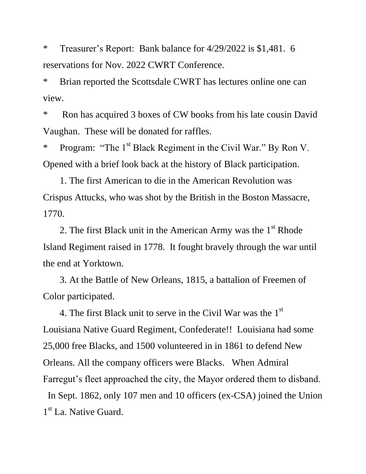\* Treasurer's Report: Bank balance for 4/29/2022 is \$1,481. 6 reservations for Nov. 2022 CWRT Conference.

\* Brian reported the Scottsdale CWRT has lectures online one can view.

\* Ron has acquired 3 boxes of CW books from his late cousin David Vaughan. These will be donated for raffles.

\* Program: "The 1<sup>st</sup> Black Regiment in the Civil War." By Ron V. Opened with a brief look back at the history of Black participation.

 1. The first American to die in the American Revolution was Crispus Attucks, who was shot by the British in the Boston Massacre, 1770.

2. The first Black unit in the American Army was the  $1<sup>st</sup>$  Rhode Island Regiment raised in 1778. It fought bravely through the war until the end at Yorktown.

 3. At the Battle of New Orleans, 1815, a battalion of Freemen of Color participated.

4. The first Black unit to serve in the Civil War was the  $1<sup>st</sup>$ Louisiana Native Guard Regiment, Confederate!! Louisiana had some 25,000 free Blacks, and 1500 volunteered in in 1861 to defend New Orleans. All the company officers were Blacks. When Admiral Farregut's fleet approached the city, the Mayor ordered them to disband. In Sept. 1862, only 107 men and 10 officers (ex-CSA) joined the Union 1<sup>st</sup> La. Native Guard.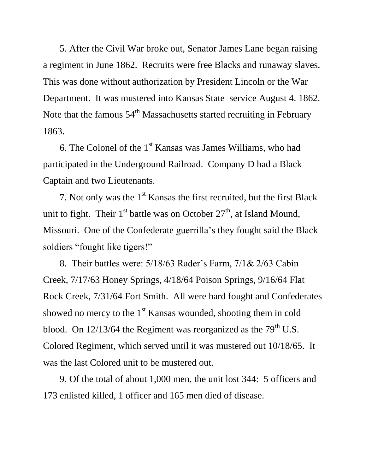5. After the Civil War broke out, Senator James Lane began raising a regiment in June 1862. Recruits were free Blacks and runaway slaves. This was done without authorization by President Lincoln or the War Department. It was mustered into Kansas State service August 4. 1862. Note that the famous  $54<sup>th</sup>$  Massachusetts started recruiting in February 1863.

6. The Colonel of the 1<sup>st</sup> Kansas was James Williams, who had participated in the Underground Railroad. Company D had a Black Captain and two Lieutenants.

7. Not only was the  $1<sup>st</sup>$  Kansas the first recruited, but the first Black unit to fight. Their  $1<sup>st</sup>$  battle was on October  $27<sup>th</sup>$ , at Island Mound, Missouri. One of the Confederate guerrilla's they fought said the Black soldiers "fought like tigers!"

 8. Their battles were: 5/18/63 Rader's Farm, 7/1& 2/63 Cabin Creek, 7/17/63 Honey Springs, 4/18/64 Poison Springs, 9/16/64 Flat Rock Creek, 7/31/64 Fort Smith. All were hard fought and Confederates showed no mercy to the  $1<sup>st</sup>$  Kansas wounded, shooting them in cold blood. On  $12/13/64$  the Regiment was reorganized as the 79<sup>th</sup> U.S. Colored Regiment, which served until it was mustered out 10/18/65. It was the last Colored unit to be mustered out.

 9. Of the total of about 1,000 men, the unit lost 344: 5 officers and 173 enlisted killed, 1 officer and 165 men died of disease.